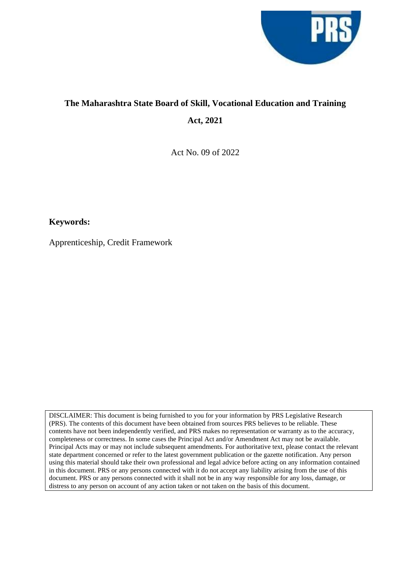

# **The Maharashtra State Board of Skill, Vocational Education and Training Act, 2021**

Act No. 09 of 2022

# **Keywords:**

Apprenticeship, Credit Framework

DISCLAIMER: This document is being furnished to you for your information by PRS Legislative Research (PRS). The contents of this document have been obtained from sources PRS believes to be reliable. These contents have not been independently verified, and PRS makes no representation or warranty as to the accuracy, completeness or correctness. In some cases the Principal Act and/or Amendment Act may not be available. Principal Acts may or may not include subsequent amendments. For authoritative text, please contact the relevant state department concerned or refer to the latest government publication or the gazette notification. Any person using this material should take their own professional and legal advice before acting on any information contained in this document. PRS or any persons connected with it do not accept any liability arising from the use of this document. PRS or any persons connected with it shall not be in any way responsible for any loss, damage, or distress to any person on account of any action taken or not taken on the basis of this document.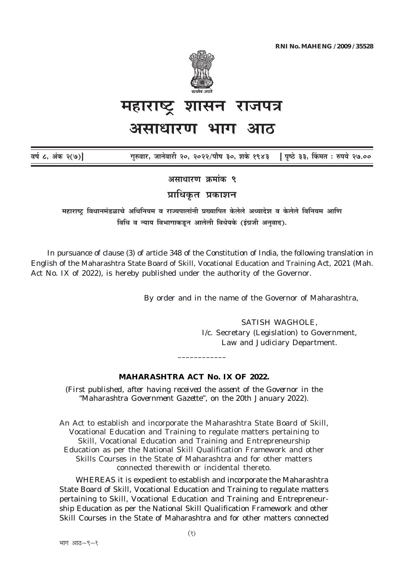

# शासन राजपत्र असाधारण भाग

| वर्ष ८, अंक २(७)] |  | गुरुवार, जानेवारी २०, २०२२/पौष ३०, शके १९४३    [पृष्ठे ३३, किंमत : रुपये २७.०० |  |  |
|-------------------|--|--------------------------------------------------------------------------------|--|--|
|                   |  |                                                                                |  |  |

असाधारण क्रमांक ९

प्राधिकृत प्रकाशन

महाराष्ट्र विधानमंडळाचे अधिनियम व राज्यपालांनी प्रख्यापित केलेले अध्यादेश व केलेले विनियम आणि विधि व न्याय विभागाकडून आलेली विधेयके (इंग्रजी अनवाद).

In pursuance of clause (3) of article 348 of the Constitution of India, the following translation in English of the Maharashtra State Board of Skill, Vocational Education and Training Act, 2021 (Mah. Act No. IX of 2022), is hereby published under the authority of the Governor.

By order and in the name of the Governor of Maharashtra,

**SATISH WAGHOLE.** I/c. Secretary (Legislation) to Government, Law and Judiciary Department.

## **MAHARASHTRA ACT No. IX OF 2022.**

(First published, after having received the assent of the Governor in the "Maharashtra Government Gazette", on the 20th January 2022).

An Act to establish and incorporate the Maharashtra State Board of Skill, Vocational Education and Training to regulate matters pertaining to Skill, Vocational Education and Training and Entrepreneurship Education as per the National Skill Qualification Framework and other Skills Courses in the State of Maharashtra and for other matters connected therewith or incidental thereto.

WHEREAS it is expedient to establish and incorporate the Maharashtra State Board of Skill, Vocational Education and Training to regulate matters pertaining to Skill, Vocational Education and Training and Entrepreneurship Education as per the National Skill Qualification Framework and other Skill Courses in the State of Maharashtra and for other matters connected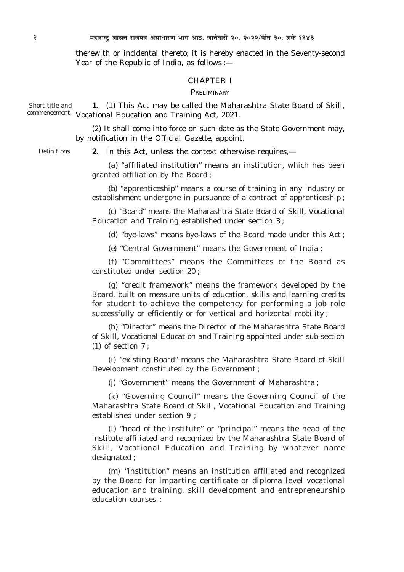therewith or incidental thereto; it is hereby enacted in the Seventy-second Year of the Republic of India, as follows :—

## CHAPTER I

PRELIMINARY

**1**. *(1)* This Act may be called the Maharashtra State Board of Skill, commencement. Vocational Education and Training Act, 2021. Short title and

> *(2)* It shall come into force on such date as the State Government may, by notification in the *Official Gazette*, appoint.

Definitions.

**2.** In this Act, unless the context otherwise requires,—

*(a)* "affiliated institution" means an institution, which has been granted affiliation by the Board ;

*(b) "*apprenticeship" means a course of training in any industry or establishment undergone in pursuance of a contract of apprenticeship ;

*(c)* "Board" means the Maharashtra State Board of Skill, Vocational Education and Training established under section 3 ;

*(d)* "bye-laws" means bye-laws of the Board made under this Act ;

*(e)* "Central Government" means the Government of India ;

*(f)* "Committees" means the Committees of the Board as constituted under section 20 ;

*(g)* "credit framework" means the framework developed by the Board, built on measure units of education, skills and learning credits for student to achieve the competency for performing a job role successfully or efficiently or for vertical and horizontal mobility ;

*(h)* "Director" means the Director of the Maharashtra State Board of Skill, Vocational Education and Training appointed under sub-section *(1)* of section 7 ;

*(i)* "existing Board" means the Maharashtra State Board of Skill Development constituted by the Government ;

*(j)* "Government" means the Government of Maharashtra ;

*(k)* "Governing Council" means the Governing Council of the Maharashtra State Board of Skill, Vocational Education and Training established under section 9 ;

*(l)* "head of the institute" or "principal" means the head of the institute affiliated and recognized by the Maharashtra State Board of Skill, Vocational Education and Training by whatever name designated ;

*(m)* "institution" means an institution affiliated and recognized by the Board for imparting certificate or diploma level vocational education and training, skill development and entrepreneurship education courses ;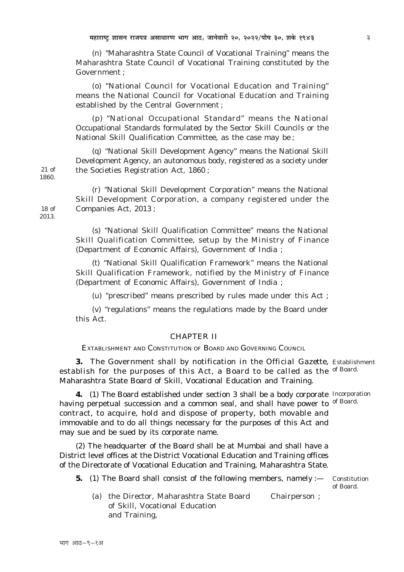(n) "Maharashtra State Council of Vocational Training" means the Maharashtra State Council of Vocational Training constituted by the  $G<sub>ov</sub>ermment$ <sup>.</sup>

(o) "National Council for Vocational Education and Training" means the National Council for Vocational Education and Training established by the Central Government;

 $(p)$  "National Occupational Standard" means the National Occupational Standards formulated by the Sector Skill Councils or the National Skill Qualification Committee, as the case may be;

(q) "National Skill Development Agency" means the National Skill Development Agency, an autonomous body, registered as a society under the Societies Registration Act, 1860;

(r) "National Skill Development Corporation" means the National Skill Development Corporation, a company registered under the Companies Act, 2013;

(s) "National Skill Qualification Committee" means the National Skill Qualification Committee, setup by the Ministry of Finance (Department of Economic Affairs), Government of India ;

(t) "National Skill Qualification Framework" means the National Skill Qualification Framework, notified by the Ministry of Finance (Department of Economic Affairs). Government of India:

 $(u)$  "prescribed" means prescribed by rules made under this Act;

 $(v)$  "regulations" means the regulations made by the Board under this Act

## **CHAPTER II**

EXTABLISHMENT AND CONSTITUTION OF BOARD AND GOVERNING COUNCIL

3. The Government shall by notification in the *Official Gazette*. Establishment establish for the purposes of this Act, a Board to be called as the of Board. Maharashtra State Board of Skill, Vocational Education and Training.

4. (1) The Board established under section 3 shall be a body corporate Incorporation having perpetual succession and a common seal, and shall have power to of Board. contract, to acquire, hold and dispose of property, both movable and immovable and to do all things necessary for the purposes of this Act and may sue and be sued by its corporate name.

(2) The headquarter of the Board shall be at Mumbai and shall have a District level offices at the District Vocational Education and Training offices of the Directorate of Vocational Education and Training, Maharashtra State.

- 5. (1) The Board shall consist of the following members, namely :-
- Constitution of Board.
- (a) the Director, Maharashtra State Board Chairperson ; of Skill. Vocational Education and Training,

 $18<sub>o</sub>f$ 2013

 $21$  of

1860.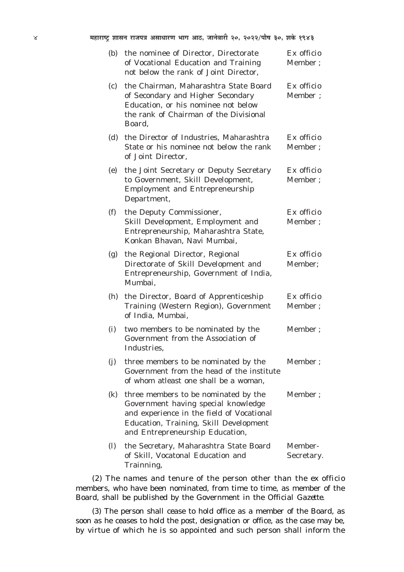| (b) | the nominee of Director, Directorate<br>of Vocational Education and Training<br>not below the rank of Joint Director.                                                                                        | Ex officio<br>Member;  |
|-----|--------------------------------------------------------------------------------------------------------------------------------------------------------------------------------------------------------------|------------------------|
| (c) | the Chairman, Maharashtra State Board<br>of Secondary and Higher Secondary<br>Education, or his nominee not below<br>the rank of Chairman of the Divisional<br>Board,                                        | Ex officio<br>Member ; |
| (d) | the Director of Industries, Maharashtra<br>State or his nominee not below the rank<br>of Joint Director,                                                                                                     | Ex officio<br>Member ; |
| (e) | the Joint Secretary or Deputy Secretary<br>to Government, Skill Development,<br><b>Employment and Entrepreneurship</b><br>Department,                                                                        | Ex officio<br>Member;  |
| (f) | the Deputy Commissioner,<br>Skill Development, Employment and<br>Entrepreneurship, Maharashtra State,<br>Konkan Bhavan, Navi Mumbai,                                                                         | Ex officio<br>Member;  |
| (g) | the Regional Director, Regional<br>Directorate of Skill Development and<br>Entrepreneurship, Government of India,<br>Mumbai,                                                                                 | Ex officio<br>Member;  |
| (h) | the Director, Board of Apprenticeship<br>Training (Western Region), Government<br>of India, Mumbai,                                                                                                          | Ex officio<br>Member;  |
| (i) | two members to be nominated by the<br>Government from the Association of<br>Industries,                                                                                                                      | Member;                |
| (j) | three members to be nominated by the<br>Government from the head of the institute<br>of whom atleast one shall be a woman,                                                                                   | Member;                |
| (k) | three members to be nominated by the<br>Government having special knowledge<br>and experience in the field of Vocational<br><b>Education, Training, Skill Development</b><br>and Entrepreneurship Education, | Member ;               |
| (1) | the Secretary, Maharashtra State Board<br>of Skill, Vocatonal Education and<br>Trainning,                                                                                                                    | Member-<br>Secretary.  |

*(2)* The names and tenure of the person other than the *ex officio* members, who have been nominated, from time to time, as member of the Board, shall be published by the Government in the *Official Gazette.*

*(3)* The person shall cease to hold office as a member of the Board, as soon as he ceases to hold the post, designation or office, as the case may be, by virtue of which he is so appointed and such person shall inform the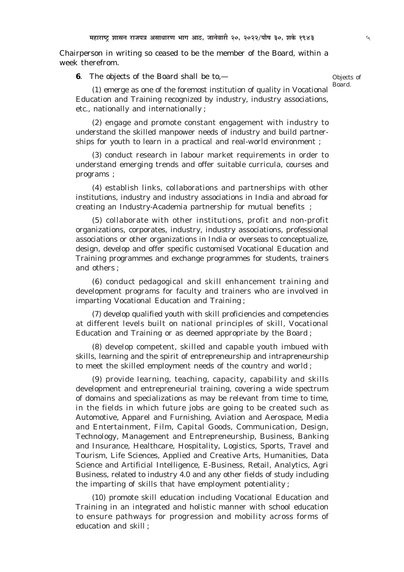Chairperson in writing so ceased to be the member of the Board, within a week therefrom.

**6**. The objects of the Board shall be to,—

Objects of Board.

*(1)* emerge as one of the foremost institution of quality in Vocational Education and Training recognized by industry, industry associations, etc., nationally and internationally ;

*(2)* engage and promote constant engagement with industry to understand the skilled manpower needs of industry and build partnerships for youth to learn in a practical and real-world environment ;

*(3)* conduct research in labour market requirements in order to understand emerging trends and offer suitable curricula, courses and programs ;

*(4)* establish links, collaborations and partnerships with other institutions, industry and industry associations in India and abroad for creating an Industry-Academia partnership for mutual benefits ;

*(5)* collaborate with other institutions, profit and non-profit organizations, corporates, industry, industry associations, professional associations or other organizations in India or overseas to conceptualize, design, develop and offer specific customised Vocational Education and Training programmes and exchange programmes for students, trainers and others ;

*(6)* conduct pedagogical and skill enhancement training and development programs for faculty and trainers who are involved in imparting Vocational Education and Training ;

*(7)* develop qualified youth with skill proficiencies and competencies at different levels built on national principles of skill, Vocational Education and Training or as deemed appropriate by the Board ;

*(8)* develop competent, skilled and capable youth imbued with skills, learning and the spirit of entrepreneurship and intrapreneurship to meet the skilled employment needs of the country and world ;

*(9)* provide learning, teaching, capacity, capability and skills development and entrepreneurial training, covering a wide spectrum of domains and specializations as may be relevant from time to time, in the fields in which future jobs are going to be created such as Automotive, Apparel and Furnishing, Aviation and Aerospace, Media and Entertainment, Film, Capital Goods, Communication, Design, Technology, Management and Entrepreneurship, Business, Banking and Insurance, Healthcare, Hospitality, Logistics, Sports, Travel and Tourism, Life Sciences, Applied and Creative Arts, Humanities, Data Science and Artificial Intelligence, E-Business, Retail, Analytics, Agri Business, related to industry 4.0 and any other fields of study including the imparting of skills that have employment potentiality ;

*(10)* promote skill education including Vocational Education and Training in an integrated and holistic manner with school education to ensure pathways for progression and mobility across forms of education and skill ;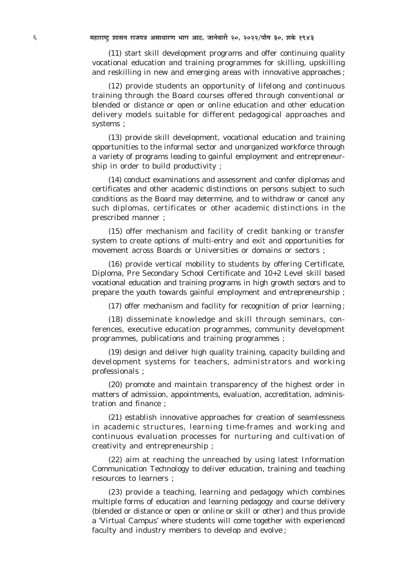*(11)* start skill development programs and offer continuing quality vocational education and training programmes for skilling, upskilling and reskilling in new and emerging areas with innovative approaches ;

*(12)* provide students an opportunity of lifelong and continuous training through the Board courses offered through conventional or blended or distance or open or online education and other education delivery models suitable for different pedagogical approaches and systems ;

*(13)* provide skill development, vocational education and training opportunities to the informal sector and unorganized workforce through a variety of programs leading to gainful employment and entrepreneurship in order to build productivity ;

*(14)* conduct examinations and assessment and confer diplomas and certificates and other academic distinctions on persons subject to such conditions as the Board may determine, and to withdraw or cancel any such diplomas, certificates or other academic distinctions in the prescribed manner ;

*(15)* offer mechanism and facility of credit banking or transfer system to create options of multi-entry and exit and opportunities for movement across Boards or Universities or domains or sectors ;

*(16)* provide vertical mobility to students by offering Certificate, Diploma, Pre Secondary School Certificate and 10+2 Level skill based vocational education and training programs in high growth sectors and to prepare the youth towards gainful employment and entrepreneurship ;

*(17)* offer mechanism and facility for recognition of prior learning ;

*(18)* disseminate knowledge and skill through seminars, conferences, executive education programmes, community development programmes, publications and training programmes ;

*(19)* design and deliver high quality training, capacity building and development systems for teachers, administrators and working professionals ;

*(20)* promote and maintain transparency of the highest order in matters of admission, appointments, evaluation, accreditation, administration and finance ;

*(21)* establish innovative approaches for creation of seamlessness in academic structures, learning time-frames and working and continuous evaluation processes for nurturing and cultivation of creativity and entrepreneurship ;

*(22)* aim at reaching the unreached by using latest Information Communication Technology to deliver education, training and teaching resources to learners ;

*(23)* provide a teaching, learning and pedagogy which combines multiple forms of education and learning pedagogy and course delivery (blended or distance or open or online or skill or other) and thus provide a 'Virtual Campus' where students will come together with experienced faculty and industry members to develop and evolve ;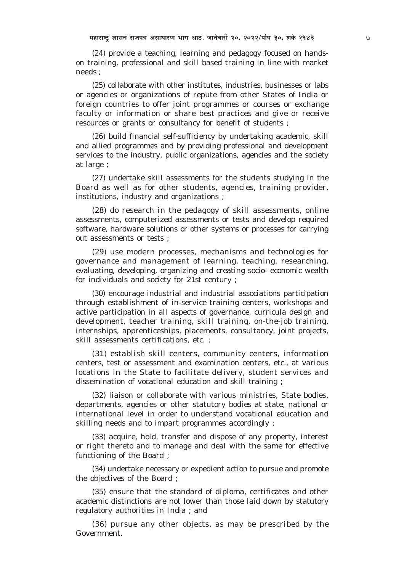$(24)$  provide a teaching, learning and pedagogy focused on handson training, professional and skill based training in line with market needs:

 $(25)$  collaborate with other institutes, industries, businesses or labs or agencies or organizations of repute from other States of India or foreign countries to offer joint programmes or courses or exchange faculty or information or share best practices and give or receive resources or grants or consultancy for benefit of students;

 $(26)$  build financial self-sufficiency by undertaking academic, skill and allied programmes and by providing professional and development services to the industry, public organizations, agencies and the society at large;

 $(27)$  undertake skill assessments for the students studying in the Board as well as for other students, agencies, training provider, institutions, industry and organizations;

(28) do research in the pedagogy of skill assessments, online assessments, computerized assessments or tests and develop required software, hardware solutions or other systems or processes for carrying out assessments or tests ;

 $(29)$  use modern processes, mechanisms and technologies for governance and management of learning, teaching, researching, evaluating, developing, organizing and creating socio-economic wealth for individuals and society for 21st century ;

 $(30)$  encourage industrial and industrial associations participation through establishment of in-service training centers, workshops and active participation in all aspects of governance, curricula design and development, teacher training, skill training, on-the-job training, internships, apprenticeships, placements, consultancy, joint projects, skill assessments certifications, etc.;

(31) establish skill centers, community centers, information centers, test or assessment and examination centers, etc., at various locations in the State to facilitate delivery, student services and dissemination of vocational education and skill training;

(32) liaison or collaborate with various ministries, State bodies, departments, agencies or other statutory bodies at state, national or international level in order to understand vocational education and skilling needs and to impart programmes accordingly;

(33) acquire, hold, transfer and dispose of any property, interest or right thereto and to manage and deal with the same for effective functioning of the Board;

(34) undertake necessary or expedient action to pursue and promote the objectives of the Board;

 $(35)$  ensure that the standard of diploma, certificates and other academic distinctions are not lower than those laid down by statutory regulatory authorities in India : and

 $(36)$  pursue any other objects, as may be prescribed by the Government.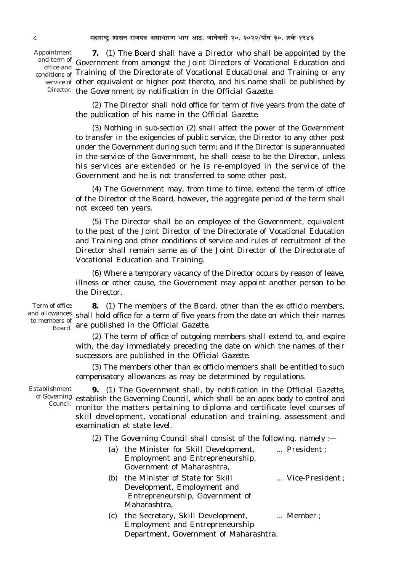Appointment conditions of

**7.** *(1)* The Board shall have a Director who shall be appointed by the and term of Government from amongst the Joint Directors of Vocational Education and office and **Educational Educational** and Training or any diffusion of Training of the Directorate of Vocational Educational and Training or any service of other equivalent or higher post thereto, and his name shall be published by Director. the Government by notification in the *Official Gazette*.

> *(2)* The Director shall hold office for term of five years from the date of the publication of his name in the *Official Gazette*.

> *(3)* Nothing in sub-section *(2)* shall affect the power of the Government to transfer in the exigencies of public service, the Director to any other post under the Government during such term; and if the Director is superannuated in the service of the Government, he shall cease to be the Director, unless his services are extended or he is re-employed in the service of the Government and he is not transferred to some other post.

> *(4)* The Government may, from time to time, extend the term of office of the Director of the Board, however, the aggregate period of the term shall not exceed ten years.

> *(5)* The Director shall be an employee of the Government, equivalent to the post of the Joint Director of the Directorate of Vocational Education and Training and other conditions of service and rules of recruitment of the Director shall remain same as of the Joint Director of the Directorate of Vocational Education and Training.

> *(6)* Where a temporary vacancy of the Director occurs by reason of leave, illness or other cause, the Government may appoint another person to be the Director.

**8.** *(1)* The members of the Board, other than the *ex officio* members, and allowances shall hold office for a term of five years from the date on which their names are published in the *Official Gazette.* Board. Term of office to members of

> *(2)* The term of office of outgoing members shall extend to, and expire with, the day immediately preceding the date on which the names of their successors are published in the *Official Gazette.*

> *(3)* The members other than *ex officio* members shall be entitled to such compensatory allowances as may be determined by regulations.

Establishment Council.

**9.** *(1)* The Government shall, by notification in the *Official Gazette,* of Governing establish the Governing Council, which shall be an apex body to control and monitor the matters pertaining to diploma and certificate level courses of skill development, vocational education and training, assessment and examination at state level.

*(2)* The Governing Council shall consist of the following, namely :—

|     | (a) the Minister for Skill Development, | President;      |  |
|-----|-----------------------------------------|-----------------|--|
|     | Employment and Entrepreneurship,        |                 |  |
|     | Government of Maharashtra,              |                 |  |
| (b) | the Minister of State for Skill         | Vice-President; |  |
|     | Development, Employment and             |                 |  |
|     | Entrepreneurship, Government of         |                 |  |
|     | Maharashtra,                            |                 |  |
| (c) | the Secretary, Skill Development,       | Member ;        |  |
|     | <b>Employment and Entrepreneurship</b>  |                 |  |

Department, Government of Maharashtra,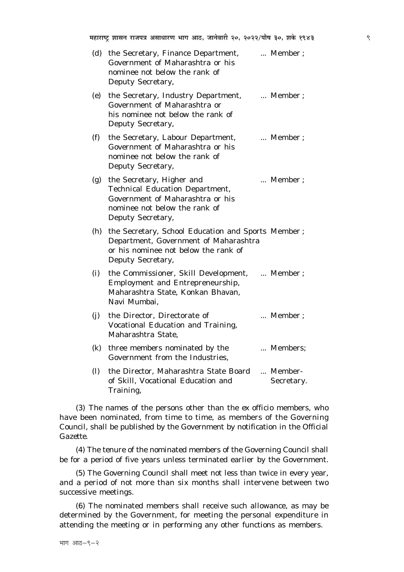| (d)               | the Secretary, Finance Department,<br>Government of Maharashtra or his<br>nominee not below the rank of<br>Deputy Secretary,                                  | Member;               |
|-------------------|---------------------------------------------------------------------------------------------------------------------------------------------------------------|-----------------------|
| (e)               | the Secretary, Industry Department,<br>Government of Maharashtra or<br>his nominee not below the rank of<br>Deputy Secretary,                                 | Member;               |
| (f)               | the Secretary, Labour Department,<br>Government of Maharashtra or his<br>nominee not below the rank of<br>Deputy Secretary,                                   | Member;               |
| (g)               | the Secretary, Higher and<br><b>Technical Education Department,</b><br>Government of Maharashtra or his<br>nominee not below the rank of<br>Deputy Secretary, | Member;               |
| (h)               | the Secretary, School Education and Sports Member;<br>Department, Government of Maharashtra<br>or his nominee not below the rank of<br>Deputy Secretary,      |                       |
| (i)               | the Commissioner, Skill Development,<br>Employment and Entrepreneurship,<br>Maharashtra State, Konkan Bhavan,<br>Navi Mumbai,                                 | Member;               |
| (j)               | the Director, Directorate of<br>Vocational Education and Training,<br>Maharashtra State,                                                                      | Member;               |
| (k)               | three members nominated by the<br>Government from the Industries,                                                                                             | Members;              |
| $\left( l\right)$ | the Director, Maharashtra State Board<br>of Skill, Vocational Education and<br>Training.                                                                      | Member-<br>Secretary. |

(3) The names of the persons other than the ex officio members, who have been nominated, from time to time, as members of the Governing Council, shall be published by the Government by notification in the Official **Gazette** 

(4) The tenure of the nominated members of the Governing Council shall be for a period of five years unless terminated earlier by the Government.

(5) The Governing Council shall meet not less than twice in every year, and a period of not more than six months shall intervene between two successive meetings.

 $(6)$  The nominated members shall receive such allowance, as may be determined by the Government, for meeting the personal expenditure in attending the meeting or in performing any other functions as members.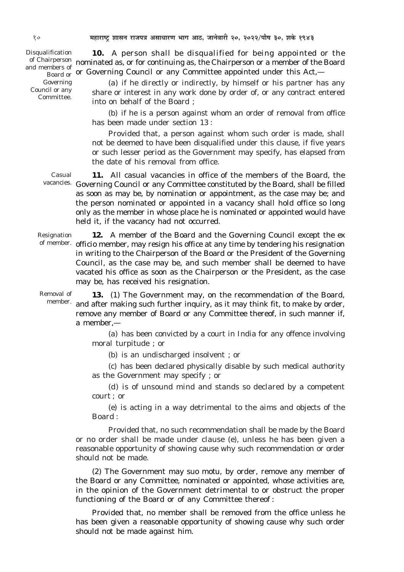Disqualification and members of Governing Council or any Committee.

**10.** A person shall be disqualified for being appointed or the of Chairperson nominated as, or for continuing as, the Chairperson or a member of the Board  $\frac{1}{100}$  and  $\frac{1}{100}$  or Governing Council or any Committee appointed under this Act,—

> *(a)* if he directly or indirectly, by himself or his partner has any share or interest in any work done by order of, or any contract entered into on behalf of the Board ;

*(b)* if he is a person against whom an order of removal from office has been made under section 13 :

Provided that, a person against whom such order is made, shall not be deemed to have been disqualified under this clause, if five years or such lesser period as the Government may specify, has elapsed from the date of his removal from office.

**11.** All casual vacancies in office of the members of the Board, the vacancies. Governing Council or any Committee constituted by the Board, shall be filled as soon as may be, by nomination or appointment, as the case may be; and the person nominated or appointed in a vacancy shall hold office so long only as the member in whose place he is nominated or appointed would have held it, if the vacancy had not occurred. Casual

**12.** A member of the Board and the Governing Council except the *ex* of member. *officio* member, may resign his office at any time by tendering his resignation in writing to the Chairperson of the Board or the President of the Governing Council, as the case may be, and such member shall be deemed to have vacated his office as soon as the Chairperson or the President, as the case may be, has received his resignation. Resignation

**13.** *(1)* The Government may, on the recommendation of the Board, and after making such further inquiry, as it may think fit, to make by order, remove any member of Board or any Committee thereof, in such manner if, a member,— Removal of member.

> *(a)* has been convicted by a court in India for any offence involving moral turpitude ; or

*(b)* is an undischarged insolvent ; or

*(c)* has been declared physically disable by such medical authority as the Government may specify ; or

*(d)* is of unsound mind and stands so declared by a competent court ; or

*(e)* is acting in a way detrimental to the aims and objects of the Board :

Provided that, no such recommendation shall be made by the Board or no order shall be made under clause *(e),* unless he has been given a reasonable opportunity of showing cause why such recommendation or order should not be made.

*(2)* The Government may *suo motu,* by order, remove any member of the Board or any Committee, nominated or appointed, whose activities are, in the opinion of the Government detrimental to or obstruct the proper functioning of the Board or of any Committee thereof :

Provided that, no member shall be removed from the office unless he has been given a reasonable opportunity of showing cause why such order should not be made against him.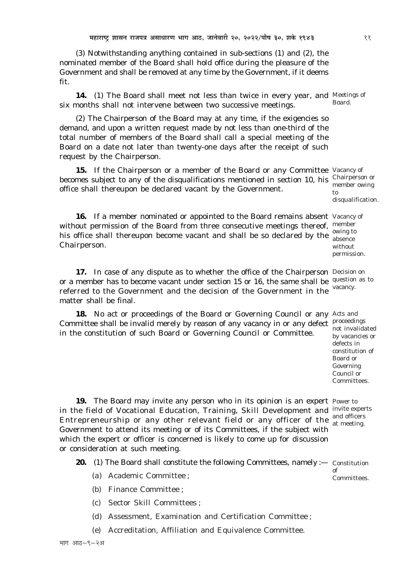*(3)* Notwithstanding anything contained in sub-sections *(1)* and *(2),* the nominated member of the Board shall hold office during the pleasure of the Government and shall be removed at any time by the Government, if it deems fit.

14. (1) The Board shall meet not less than twice in every year, and Meetings of six months shall not intervene between two successive meetings.

*(2)* The Chairperson of the Board may at any time, if the exigencies so demand, and upon a written request made by not less than one-third of the total number of members of the Board shall call a special meeting of the Board on a date not later than twenty-one days after the receipt of such request by the Chairperson.

15. If the Chairperson or a member of the Board or any Committee Vacancy of becomes subject to any of the disqualifications mentioned in section 10, his Chairperson or office shall thereupon be declared vacant by the Government.

16. If a member nominated or appointed to the Board remains absent Vacancy of without permission of the Board from three consecutive meetings thereof, member his office shall thereupon become vacant and shall be so declared by the  $\frac{\text{owing to}}{\text{absence}}$ Chairperson.

17. In case of any dispute as to whether the office of the Chairperson Decision on or a member has to become vacant under section 15 or 16, the same shall be question as to referred to the Government and the decision of the Government in the matter shall be final. vacancy.

**18.** No act or proceedings of the Board or Governing Council or any Acts and Committee shall be invalid merely by reason of any vacancy in or any defect proceedings in the constitution of such Board or Governing Council or Committee.

not invalidated by vacancies or defects in constitution of Board or Governing Council or

Committees.

of

Committees.

**19.** The Board may invite any person who in its opinion is an expert Power to in the field of Vocational Education, Training, Skill Development and invite experts Entrepreneurship or any other relevant field or any officer of the  $\frac{1}{24}$  meeting Government to attend its meeting or of its Committees, if the subject with which the expert or officer is concerned is likely to come up for discussion or consideration at such meeting. at meeting.

**20.** *(1)* The Board shall constitute the following Committees, namely :— Constitution

- *(a)* Academic Committee ;
- *(b)* Finance Committee ;
- *(c)* Sector Skill Committees ;
- *(d)* Assessment, Examination and Certification Committee ;
- *(e)* Accreditation, Affiliation and Equivalence Committee.

Board.

member owing to disqualification.

absence without permission.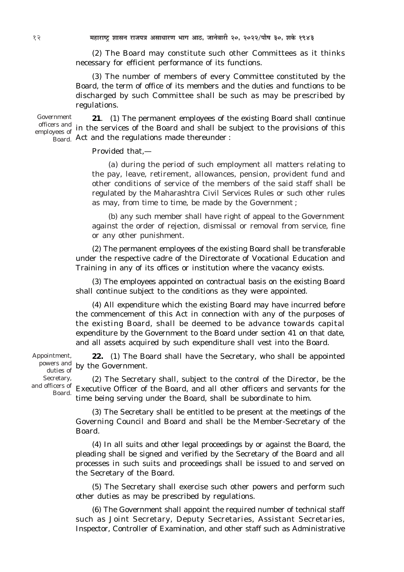*(2)* The Board may constitute such other Committees as it thinks necessary for efficient performance of its functions.

*(3)* The number of members of every Committee constituted by the Board, the term of office of its members and the duties and functions to be discharged by such Committee shall be such as may be prescribed by regulations.

Government employees of

**21**. *(1)* The permanent employees of the existing Board shall continue officers and in the services of the Board and shall be subject to the provisions of this  $\beta$ <sub>Board.</sub> Act and the regulations made thereunder :

Provided that,—

*(a)* during the period of such employment all matters relating to the pay, leave, retirement, allowances, pension, provident fund and other conditions of service of the members of the said staff shall be regulated by the Maharashtra Civil Services Rules or such other rules as may, from time to time, be made by the Government ;

*(b)* any such member shall have right of appeal to the Government against the order of rejection, dismissal or removal from service, fine or any other punishment.

*(2)* The permanent employees of the existing Board shall be transferable under the respective cadre of the Directorate of Vocational Education and Training in any of its offices or institution where the vacancy exists.

*(3)* The employees appointed on contractual basis on the existing Board shall continue subject to the conditions as they were appointed.

*(4)* All expenditure which the existing Board may have incurred before the commencement of this Act in connection with any of the purposes of the existing Board, shall be deemed to be advance towards capital expenditure by the Government to the Board under section 41 on that date, and all assets acquired by such expenditure shall vest into the Board.

**22.** *(1)* The Board shall have the Secretary, who shall be appointed powers and by the Government. Appointment,

duties of Secretary, and officers of Board.

*(2)* The Secretary shall, subject to the control of the Director, be the Executive Officer of the Board, and all other officers and servants for the time being serving under the Board, shall be subordinate to him.

*(3)* The Secretary shall be entitled to be present at the meetings of the Governing Council and Board and shall be the Member-Secretary of the Board.

*(4)* In all suits and other legal proceedings by or against the Board, the pleading shall be signed and verified by the Secretary of the Board and all processes in such suits and proceedings shall be issued to and served on the Secretary of the Board.

*(5)* The Secretary shall exercise such other powers and perform such other duties as may be prescribed by regulations.

*(6)* The Government shall appoint the required number of technical staff such as Joint Secretary, Deputy Secretaries, Assistant Secretaries, Inspector, Controller of Examination, and other staff such as Administrative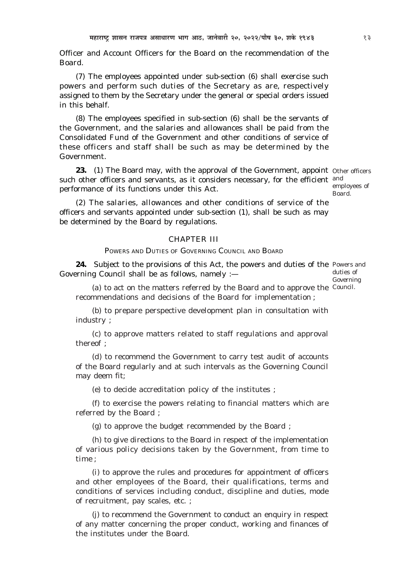Officer and Account Officers for the Board on the recommendation of the Board.

*(7)* The employees appointed under sub-section (*6*) shall exercise such powers and perform such duties of the Secretary as are, respectively assigned to them by the Secretary under the general or special orders issued in this behalf.

*(8)* The employees specified in sub-section *(6)* shall be the servants of the Government, and the salaries and allowances shall be paid from the Consolidated Fund of the Government and other conditions of service of these officers and staff shall be such as may be determined by the Government.

**23.** (1) The Board may, with the approval of the Government, appoint Other officers such other officers and servants, as it considers necessary, for the efficient <sup>and</sup> performance of its functions under this Act.

employees of Board.

*(2)* The salaries, allowances and other conditions of service of the officers and servants appointed under sub-section *(1),* shall be such as may be determined by the Board by regulations.

## CHAPTER III

POWERS AND DUTIES OF GOVERNING COUNCIL AND BOARD

**24.** Subject to the provisions of this Act, the powers and duties of the Powers and Governing Council shall be as follows, namely :—

duties of Governing

(a) to act on the matters referred by the Board and to approve the Council. recommendations and decisions of the Board for implementation ;

*(b)* to prepare perspective development plan in consultation with industry ;

*(c)* to approve matters related to staff regulations and approval thereof ;

*(d)* to recommend the Government to carry test audit of accounts of the Board regularly and at such intervals as the Governing Council may deem fit;

*(e)* to decide accreditation policy of the institutes ;

*(f)* to exercise the powers relating to financial matters which are referred by the Board ;

*(g)* to approve the budget recommended by the Board ;

*(h)* to give directions to the Board in respect of the implementation of various policy decisions taken by the Government, from time to time ;

*(i)* to approve the rules and procedures for appointment of officers and other employees of the Board, their qualifications, terms and conditions of services including conduct, discipline and duties, mode of recruitment, pay scales, etc. ;

*(j)* to recommend the Government to conduct an enquiry in respect of any matter concerning the proper conduct, working and finances of the institutes under the Board.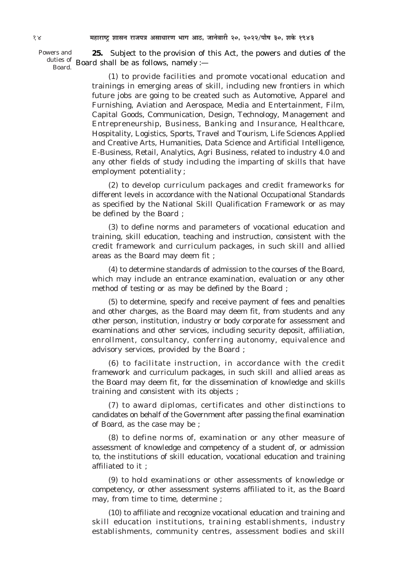Powers and 25. Subject to the provision of this Act, the powers and duties of the duties of Board shall be as follows, namely :-Board.

> $(1)$  to provide facilities and promote vocational education and trainings in emerging areas of skill, including new frontiers in which future jobs are going to be created such as Automotive, Apparel and Furnishing, Aviation and Aerospace, Media and Entertainment, Film, Capital Goods, Communication, Design, Technology, Management and Entrepreneurship, Business, Banking and Insurance, Healthcare, Hospitality, Logistics, Sports, Travel and Tourism, Life Sciences Applied and Creative Arts, Humanities, Data Science and Artificial Intelligence, E-Business, Retail, Analytics, Agri Business, related to industry 4.0 and any other fields of study including the imparting of skills that have employment potentiality;

> $(2)$  to develop curriculum packages and credit frameworks for different levels in accordance with the National Occupational Standards as specified by the National Skill Qualification Framework or as may be defined by the Board;

> $(3)$  to define norms and parameters of vocational education and training, skill education, teaching and instruction, consistent with the credit framework and curriculum packages, in such skill and allied areas as the Board may deem fit;

> (4) to determine standards of admission to the courses of the Board, which may include an entrance examination, evaluation or any other method of testing or as may be defined by the Board;

> $(5)$  to determine, specify and receive payment of fees and penalties and other charges, as the Board may deem fit, from students and any other person, institution, industry or body corporate for assessment and examinations and other services, including security deposit, affiliation, enrollment, consultancy, conferring autonomy, equivalence and advisory services, provided by the Board;

> $(6)$  to facilitate instruction, in accordance with the credit framework and curriculum packages, in such skill and allied areas as the Board may deem fit, for the dissemination of knowledge and skills training and consistent with its objects;

> (7) to award diplomas, certificates and other distinctions to candidates on behalf of the Government after passing the final examination of Board, as the case may be;

> $(8)$  to define norms of, examination or any other measure of assessment of knowledge and competency of a student of, or admission to, the institutions of skill education, vocational education and training affiliated to it:

> $(9)$  to hold examinations or other assessments of knowledge or competency, or other assessment systems affiliated to it, as the Board may, from time to time, determine;

> $(10)$  to affiliate and recognize vocational education and training and skill education institutions, training establishments, industry establishments, community centres, assessment bodies and skill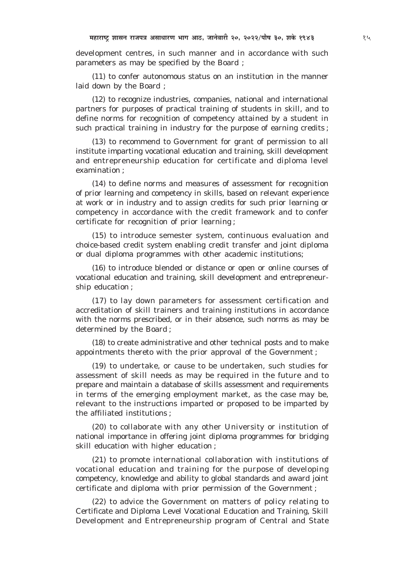development centres, in such manner and in accordance with such parameters as may be specified by the Board;

 $(11)$  to confer autonomous status on an institution in the manner laid down by the Board :

 $(12)$  to recognize industries, companies, national and international partners for purposes of practical training of students in skill, and to define norms for recognition of competency attained by a student in such practical training in industry for the purpose of earning credits;

 $(13)$  to recommend to Government for grant of permission to all institute imparting vocational education and training, skill development and entrepreneurship education for certificate and diploma level examination:

 $(14)$  to define norms and measures of assessment for recognition of prior learning and competency in skills, based on relevant experience at work or in industry and to assign credits for such prior learning or competency in accordance with the credit framework and to confer certificate for recognition of prior learning;

 $(15)$  to introduce semester system, continuous evaluation and choice-based credit system enabling credit transfer and joint diploma or dual diploma programmes with other academic institutions;

 $(16)$  to introduce blended or distance or open or online courses of vocational education and training, skill development and entrepreneurship education;

 $(17)$  to lay down parameters for assessment certification and accreditation of skill trainers and training institutions in accordance with the norms prescribed, or in their absence, such norms as may be determined by the Board;

 $(18)$  to create administrative and other technical posts and to make appointments thereto with the prior approval of the Government;

 $(19)$  to undertake, or cause to be undertaken, such studies for assessment of skill needs as may be required in the future and to prepare and maintain a database of skills assessment and requirements in terms of the emerging employment market, as the case may be, relevant to the instructions imparted or proposed to be imparted by the affiliated institutions:

(20) to collaborate with any other University or institution of national importance in offering joint diploma programmes for bridging skill education with higher education;

 $(21)$  to promote international collaboration with institutions of vocational education and training for the purpose of developing competency, knowledge and ability to global standards and award joint certificate and diploma with prior permission of the Government;

(22) to advice the Government on matters of policy relating to Certificate and Diploma Level Vocational Education and Training, Skill Development and Entrepreneurship program of Central and State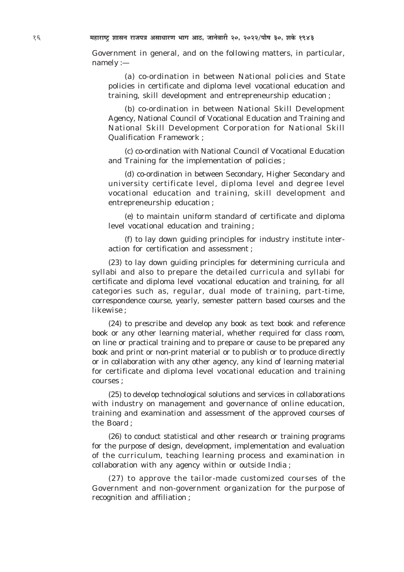16 **¨É½þÉ®úɹ]Åõ ¶ÉɺÉxÉ ®úÉVÉ{ÉjÉ +ºÉÉvÉÉ®úhÉ ¦ÉÉMÉ +É`ö, VÉÉxÉä´ÉÉ®úÒ 20, 2022/{ÉÉè¹É 30, ¶ÉEäò 1943**

Government in general, and on the following matters, in particular, namely :—

*(a)* co-ordination in between National policies and State policies in certificate and diploma level vocational education and training, skill development and entrepreneurship education ;

*(b)* co-ordination in between National Skill Development Agency, National Council of Vocational Education and Training and National Skill Development Corporation for National Skill Qualification Framework ;

*(c)* co-ordination with National Council of Vocational Education and Training for the implementation of policies ;

*(d)* co-ordination in between Secondary, Higher Secondary and university certificate level, diploma level and degree level vocational education and training, skill development and entrepreneurship education ;

*(e)* to maintain uniform standard of certificate and diploma level vocational education and training ;

*(f)* to lay down guiding principles for industry institute interaction for certification and assessment ;

*(23)* to lay down guiding principles for determining curricula and syllabi and also to prepare the detailed curricula and syllabi for certificate and diploma level vocational education and training, for all categories such as, regular, dual mode of training, part-time, correspondence course, yearly, semester pattern based courses and the likewise ;

*(24)* to prescribe and develop any book as text book and reference book or any other learning material, whether required for class room, on line or practical training and to prepare or cause to be prepared any book and print or non-print material or to publish or to produce directly or in collaboration with any other agency, any kind of learning material for certificate and diploma level vocational education and training courses ;

*(25)* to develop technological solutions and services in collaborations with industry on management and governance of online education, training and examination and assessment of the approved courses of the Board ;

*(26)* to conduct statistical and other research or training programs for the purpose of design, development, implementation and evaluation of the curriculum, teaching learning process and examination in collaboration with any agency within or outside India ;

*(27)* to approve the tailor-made customized courses of the Government and non-government organization for the purpose of recognition and affiliation ;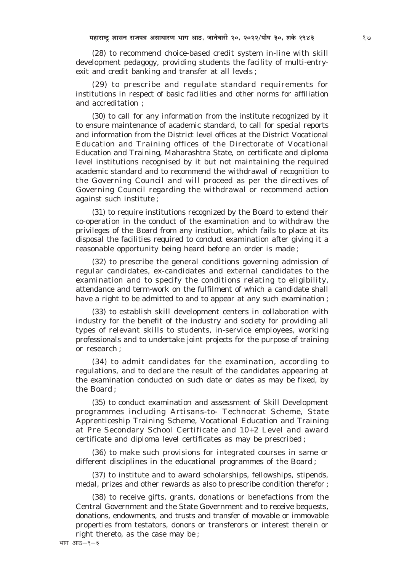*(28)* to recommend choice-based credit system in-line with skill development pedagogy, providing students the facility of multi-entryexit and credit banking and transfer at all levels ;

*(29)* to prescribe and regulate standard requirements for institutions in respect of basic facilities and other norms for affiliation and accreditation ;

*(30)* to call for any information from the institute recognized by it to ensure maintenance of academic standard, to call for special reports and information from the District level offices at the District Vocational Education and Training offices of the Directorate of Vocational Education and Training, Maharashtra State, on certificate and diploma level institutions recognised by it but not maintaining the required academic standard and to recommend the withdrawal of recognition to the Governing Council and will proceed as per the directives of Governing Council regarding the withdrawal or recommend action against such institute ;

*(31)* to require institutions recognized by the Board to extend their co-operation in the conduct of the examination and to withdraw the privileges of the Board from any institution, which fails to place at its disposal the facilities required to conduct examination after giving it a reasonable opportunity being heard before an order is made ;

*(32)* to prescribe the general conditions governing admission of regular candidates, ex-candidates and external candidates to the examination and to specify the conditions relating to eligibility, attendance and term-work on the fulfilment of which a candidate shall have a right to be admitted to and to appear at any such examination ;

*(33)* to establish skill development centers in collaboration with industry for the benefit of the industry and society for providing all types of relevant skills to students, in-service employees, working professionals and to undertake joint projects for the purpose of training or research ;

*(34)* to admit candidates for the examination, according to regulations, and to declare the result of the candidates appearing at the examination conducted on such date or dates as may be fixed, by the Board ;

*(35)* to conduct examination and assessment of Skill Development programmes including Artisans-to- Technocrat Scheme, State Apprenticeship Training Scheme, Vocational Education and Training at Pre Secondary School Certificate and 10+2 Level and award certificate and diploma level certificates as may be prescribed ;

*(36)* to make such provisions for integrated courses in same or different disciplines in the educational programmes of the Board ;

*(37)* to institute and to award scholarships, fellowships, stipends, medal, prizes and other rewards as also to prescribe condition therefor ;

*(38)* to receive gifts, grants, donations or benefactions from the Central Government and the State Government and to receive bequests, donations, endowments, and trusts and transfer of movable or immovable properties from testators, donors or transferors or interest therein or right thereto, as the case may be ;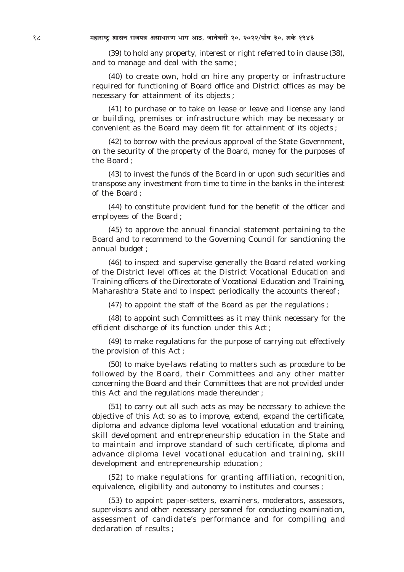*(39)* to hold any property, interest or right referred to in clause *(38)*, and to manage and deal with the same ;

*(40)* to create own, hold on hire any property or infrastructure required for functioning of Board office and District offices as may be necessary for attainment of its objects ;

*(41)* to purchase or to take on lease or leave and license any land or building, premises or infrastructure which may be necessary or convenient as the Board may deem fit for attainment of its objects ;

*(42)* to borrow with the previous approval of the State Government, on the security of the property of the Board, money for the purposes of the Board ;

*(43)* to invest the funds of the Board in or upon such securities and transpose any investment from time to time in the banks in the interest of the Board ;

*(44)* to constitute provident fund for the benefit of the officer and employees of the Board ;

*(45)* to approve the annual financial statement pertaining to the Board and to recommend to the Governing Council for sanctioning the annual budget ;

*(46)* to inspect and supervise generally the Board related working of the District level offices at the District Vocational Education and Training officers of the Directorate of Vocational Education and Training, Maharashtra State and to inspect periodically the accounts thereof ;

*(47)* to appoint the staff of the Board as per the regulations ;

*(48)* to appoint such Committees as it may think necessary for the efficient discharge of its function under this Act ;

*(49)* to make regulations for the purpose of carrying out effectively the provision of this Act ;

*(50)* to make bye-laws relating to matters such as procedure to be followed by the Board, their Committees and any other matter concerning the Board and their Committees that are not provided under this Act and the regulations made thereunder ;

*(51)* to carry out all such acts as may be necessary to achieve the objective of this Act so as to improve, extend, expand the certificate, diploma and advance diploma level vocational education and training, skill development and entrepreneurship education in the State and to maintain and improve standard of such certificate, diploma and advance diploma level vocational education and training, skill development and entrepreneurship education ;

*(52)* to make regulations for granting affiliation, recognition, equivalence, eligibility and autonomy to institutes and courses ;

*(53)* to appoint paper-setters, examiners, moderators, assessors, supervisors and other necessary personnel for conducting examination, assessment of candidate's performance and for compiling and declaration of results ;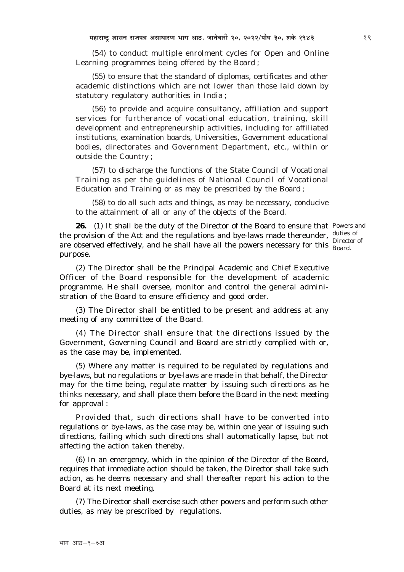*(54)* to conduct multiple enrolment cycles for Open and Online Learning programmes being offered by the Board ;

*(55)* to ensure that the standard of diplomas, certificates and other academic distinctions which are not lower than those laid down by statutory regulatory authorities in India ;

*(56)* to provide and acquire consultancy, affiliation and support services for furtherance of vocational education, training, skill development and entrepreneurship activities, including for affiliated institutions, examination boards, Universities, Government educational bodies, directorates and Government Department, etc., within or outside the Country ;

*(57)* to discharge the functions of the State Council of Vocational Training as per the guidelines of National Council of Vocational Education and Training or as may be prescribed by the Board ;

*(58)* to do all such acts and things, as may be necessary, conducive to the attainment of all or any of the objects of the Board.

**26.** (1) It shall be the duty of the Director of the Board to ensure that Powers and the provision of the Act and the regulations and bye-laws made thereunder,  $\frac{d$ uties of are observed effectively, and he shall have all the powers necessary for this  $\frac{\text{Director of}}{\text{Board}}$ purpose.

Board.

*(2)* The Director shall be the Principal Academic and Chief Executive Officer of the Board responsible for the development of academic programme. He shall oversee, monitor and control the general administration of the Board to ensure efficiency and good order.

*(3)* The Director shall be entitled to be present and address at any meeting of any committee of the Board.

*(4)* The Director shall ensure that the directions issued by the Government, Governing Council and Board are strictly complied with or, as the case may be, implemented.

*(5)* Where any matter is required to be regulated by regulations and bye-laws, but no regulations or bye-laws are made in that behalf, the Director may for the time being, regulate matter by issuing such directions as he thinks necessary, and shall place them before the Board in the next meeting for approval :

Provided that, such directions shall have to be converted into regulations or bye-laws, as the case may be, within one year of issuing such directions, failing which such directions shall automatically lapse, but not affecting the action taken thereby.

*(6)* In an emergency, which in the opinion of the Director of the Board, requires that immediate action should be taken, the Director shall take such action, as he deems necessary and shall thereafter report his action to the Board at its next meeting.

*(7)* The Director shall exercise such other powers and perform such other duties, as may be prescribed by regulations.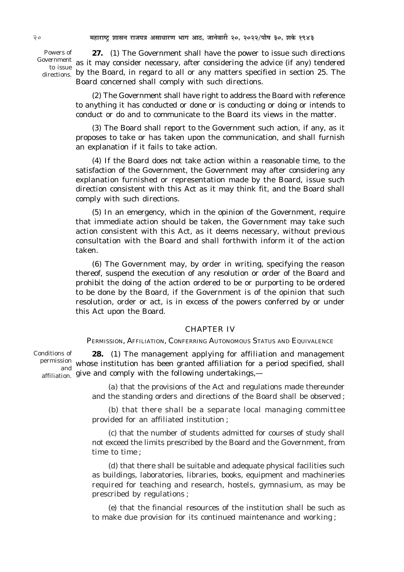Powers of directions.

**27.** *(1)* The Government shall have the power to issue such directions Government as it may consider necessary, after considering the advice (if any) tendered to issue the Board, in regard to all or any matters specified in section 25. The Board concerned shall comply with such directions.

> *(2)* The Government shall have right to address the Board with reference to anything it has conducted or done or is conducting or doing or intends to conduct or do and to communicate to the Board its views in the matter.

> *(3)* The Board shall report to the Government such action, if any, as it proposes to take or has taken upon the communication, and shall furnish an explanation if it fails to take action.

> *(4)* If the Board does not take action within a reasonable time, to the satisfaction of the Government, the Government may after considering any explanation furnished or representation made by the Board, issue such direction consistent with this Act as it may think fit, and the Board shall comply with such directions.

> *(5)* In an emergency, which in the opinion of the Government, require that immediate action should be taken, the Government may take such action consistent with this Act, as it deems necessary, without previous consultation with the Board and shall forthwith inform it of the action taken.

> *(6)* The Government may, by order in writing, specifying the reason thereof, suspend the execution of any resolution or order of the Board and prohibit the doing of the action ordered to be or purporting to be ordered to be done by the Board, if the Government is of the opinion that such resolution, order or act, is in excess of the powers conferred by or under this Act upon the Board.

#### CHAPTER IV

PERMISSION, AFFILIATION, CONFERRING AUTONOMOUS STATUS AND EQUIVALENCE

**28.** *(1)* The management applying for affiliation and management permission whose institution has been granted affiliation for a period specified, shall affiliation. give and comply with the following undertakings,— Conditions of and

> *(a)* that the provisions of the Act and regulations made thereunder and the standing orders and directions of the Board shall be observed ;

> *(b)* that there shall be a separate local managing committee provided for an affiliated institution ;

> *(c)* that the number of students admitted for courses of study shall not exceed the limits prescribed by the Board and the Government, from time to time ;

> *(d)* that there shall be suitable and adequate physical facilities such as buildings, laboratories, libraries, books, equipment and machineries required for teaching and research, hostels, gymnasium, as may be prescribed by regulations ;

> *(e)* that the financial resources of the institution shall be such as to make due provision for its continued maintenance and working ;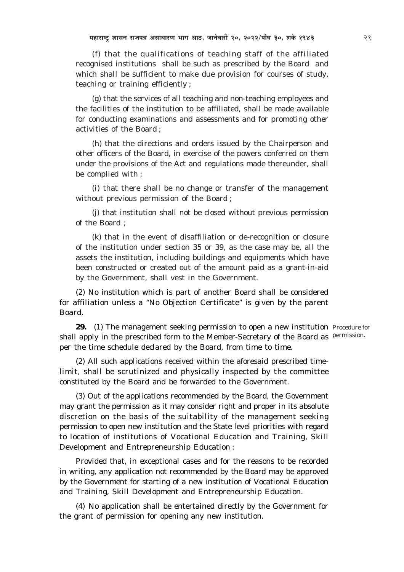*(f)* that the qualifications of teaching staff of the affiliated recognised institutions shall be such as prescribed by the Board and which shall be sufficient to make due provision for courses of study, teaching or training efficiently ;

*(g)* that the services of all teaching and non-teaching employees and the facilities of the institution to be affiliated, shall be made available for conducting examinations and assessments and for promoting other activities of the Board ;

*(h)* that the directions and orders issued by the Chairperson and other officers of the Board, in exercise of the powers conferred on them under the provisions of the Act and regulations made thereunder, shall be complied with ;

*(i)* that there shall be no change or transfer of the management without previous permission of the Board ;

*(j)* that institution shall not be closed without previous permission of the Board ;

*(k)* that in the event of disaffiliation or de-recognition or closure of the institution under section 35 or 39, as the case may be, all the assets the institution, including buildings and equipments which have been constructed or created out of the amount paid as a grant-in-aid by the Government, shall vest in the Government.

*(2)* No institution which is part of another Board shall be considered for affiliation unless a "No Objection Certificate" is given by the parent Board.

29. (1) The management seeking permission to open a new institution Procedure for shall apply in the prescribed form to the Member-Secretary of the Board as Permission. per the time schedule declared by the Board, from time to time.

*(2)* All such applications received within the aforesaid prescribed timelimit, shall be scrutinized and physically inspected by the committee constituted by the Board and be forwarded to the Government.

*(3)* Out of the applications recommended by the Board, the Government may grant the permission as it may consider right and proper in its absolute discretion on the basis of the suitability of the management seeking permission to open new institution and the State level priorities with regard to location of institutions of Vocational Education and Training, Skill Development and Entrepreneurship Education :

Provided that, in exceptional cases and for the reasons to be recorded in writing, any application not recommended by the Board may be approved by the Government for starting of a new institution of Vocational Education and Training, Skill Development and Entrepreneurship Education.

*(4)* No application shall be entertained directly by the Government for the grant of permission for opening any new institution.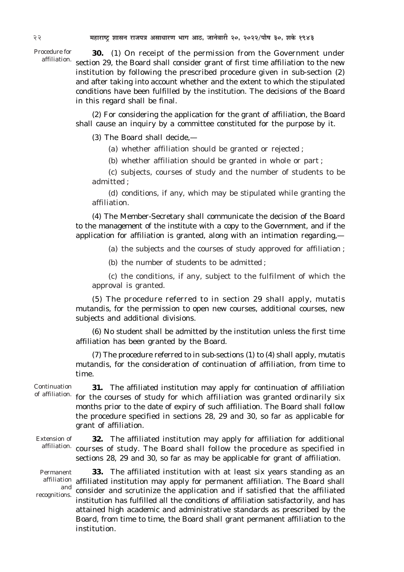Procedure for affiliation.

**30.** *(1)* On receipt of the permission from the Government under section 29, the Board shall consider grant of first time affiliation to the new institution by following the prescribed procedure given in sub-section *(2)* and after taking into account whether and the extent to which the stipulated conditions have been fulfilled by the institution. The decisions of the Board in this regard shall be final.

*(2)* For considering the application for the grant of affiliation, the Board shall cause an inquiry by a committee constituted for the purpose by it.

*(3)* The Board shall decide,—

*(a)* whether affiliation should be granted or rejected ;

*(b)* whether affiliation should be granted in whole or part ;

*(c)* subjects, courses of study and the number of students to be admitted ;

*(d)* conditions, if any, which may be stipulated while granting the affiliation.

*(4)* The Member-Secretary shall communicate the decision of the Board to the management of the institute with a copy to the Government, and if the application for affiliation is granted, along with an intimation regarding,—

*(a)* the subjects and the courses of study approved for affiliation ;

*(b)* the number of students to be admitted ;

*(c)* the conditions, if any, subject to the fulfilment of which the approval is granted.

*(5)* The procedure referred to in section 29 shall apply, *mutatis mutandis*, for the permission to open new courses, additional courses, new subjects and additional divisions.

*(6)* No student shall be admitted by the institution unless the first time affiliation has been granted by the Board.

*(7)* The procedure referred to in sub-sections *(1)* to *(4)* shall apply, *mutatis mutandis*, for the consideration of continuation of affiliation, from time to time.

Continuation of affiliation.

**31.** The affiliated institution may apply for continuation of affiliation for the courses of study for which affiliation was granted ordinarily six months prior to the date of expiry of such affiliation. The Board shall follow the procedure specified in sections 28, 29 and 30, so far as applicable for grant of affiliation.

Extension of

**32.** The affiliated institution may apply for affiliation for additional affiliation. courses of study. The Board shall follow the procedure as specified in sections 28, 29 and 30, so far as may be applicable for grant of affiliation.

Permanent and recognitions.

**33.** The affiliated institution with at least six years standing as an affiliation affiliated institution may apply for permanent affiliation. The Board shall consider and scrutinize the application and if satisfied that the affiliated institution has fulfilled all the conditions of affiliation satisfactorily, and has attained high academic and administrative standards as prescribed by the Board, from time to time, the Board shall grant permanent affiliation to the institution.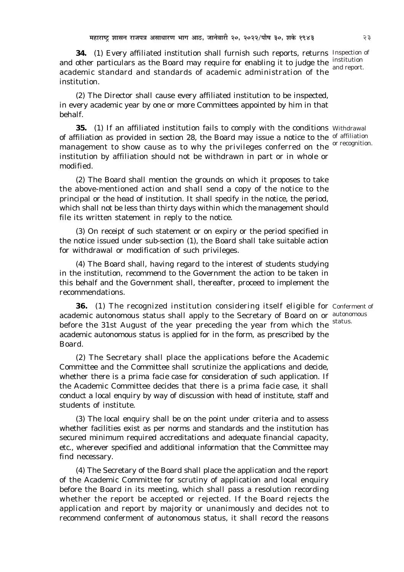**34.** *(1)* Every affiliated institution shall furnish such reports, returns Inspection of and other particulars as the Board may require for enabling it to judge the  $\frac{\text{institution}}{\text{and moment}}$ academic standard and standards of academic administration of the institution.

*(2)* The Director shall cause every affiliated institution to be inspected, in every academic year by one or more Committees appointed by him in that behalf.

**35.** (1) If an affiliated institution fails to comply with the conditions Withdrawal of affiliation as provided in section 28, the Board may issue a notice to the <sup>of affiliation</sup> management to show cause as to why the privileges conferred on the <sup>or recognition.</sup> institution by affiliation should not be withdrawn in part or in whole or modified.

*(2)* The Board shall mention the grounds on which it proposes to take the above-mentioned action and shall send a copy of the notice to the principal or the head of institution. It shall specify in the notice, the period, which shall not be less than thirty days within which the management should file its written statement in reply to the notice.

*(3)* On receipt of such statement or on expiry or the period specified in the notice issued under sub-section *(1),* the Board shall take suitable action for withdrawal or modification of such privileges.

*(4)* The Board shall, having regard to the interest of students studying in the institution, recommend to the Government the action to be taken in this behalf and the Government shall, thereafter, proceed to implement the recommendations.

**36.** *(1)* The recognized institution considering itself eligible for Conferment of academic autonomous status shall apply to the Secretary of Board on or autonomous before the 31st August of the year preceding the year from which the academic autonomous status is applied for in the form, as prescribed by the Board. status.

*(2)* The Secretary shall place the applications before the Academic Committee and the Committee shall scrutinize the applications and decide, whether there is a *prima facie* case for consideration of such application. If the Academic Committee decides that there is a *prima facie* case, it shall conduct a local enquiry by way of discussion with head of institute, staff and students of institute.

*(3)* The local enquiry shall be on the point under criteria and to assess whether facilities exist as per norms and standards and the institution has secured minimum required accreditations and adequate financial capacity, etc., wherever specified and additional information that the Committee may find necessary.

*(4)* The Secretary of the Board shall place the application and the report of the Academic Committee for scrutiny of application and local enquiry before the Board in its meeting, which shall pass a resolution recording whether the report be accepted or rejected. If the Board rejects the application and report by majority or unanimously and decides not to recommend conferment of autonomous status, it shall record the reasons

and report.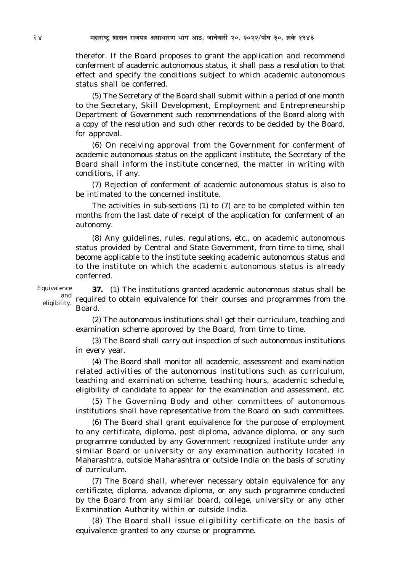therefor. If the Board proposes to grant the application and recommend conferment of academic autonomous status, it shall pass a resolution to that effect and specify the conditions subject to which academic autonomous status shall be conferred.

*(5)* The Secretary of the Board shall submit within a period of one month to the Secretary, Skill Development, Employment and Entrepreneurship Department of Government such recommendations of the Board along with a copy of the resolution and such other records to be decided by the Board, for approval.

*(6)* On receiving approval from the Government for conferment of academic autonomous status on the applicant institute, the Secretary of the Board shall inform the institute concerned, the matter in writing with conditions, if any.

*(7)* Rejection of conferment of academic autonomous status is also to be intimated to the concerned institute.

The activities in sub-sections *(1)* to *(7)* are to be completed within ten months from the last date of receipt of the application for conferment of an autonomy.

*(8)* Any guidelines, rules, regulations, etc., on academic autonomous status provided by Central and State Government, from time to time, shall become applicable to the institute seeking academic autonomous status and to the institute on which the academic autonomous status is already conferred.

Equivalence and eligibility.

**37.** *(1)* The institutions granted academic autonomous status shall be required to obtain equivalence for their courses and programmes from the Board.

*(2)* The autonomous institutions shall get their curriculum, teaching and examination scheme approved by the Board, from time to time.

*(3)* The Board shall carry out inspection of such autonomous institutions in every year.

*(4)* The Board shall monitor all academic, assessment and examination related activities of the autonomous institutions such as curriculum, teaching and examination scheme, teaching hours, academic schedule, eligibility of candidate to appear for the examination and assessment, etc.

*(5)* The Governing Body and other committees of autonomous institutions shall have representative from the Board on such committees.

*(6)* The Board shall grant equivalence for the purpose of employment to any certificate, diploma, post diploma, advance diploma, or any such programme conducted by any Government recognized institute under any similar Board or university or any examination authority located in Maharashtra, outside Maharashtra or outside India on the basis of scrutiny of curriculum.

*(7)* The Board shall, wherever necessary obtain equivalence for any certificate, diploma, advance diploma, or any such programme conducted by the Board from any similar board, college, university or any other Examination Authority within or outside India.

*(8)* The Board shall issue eligibility certificate on the basis of equivalence granted to any course or programme.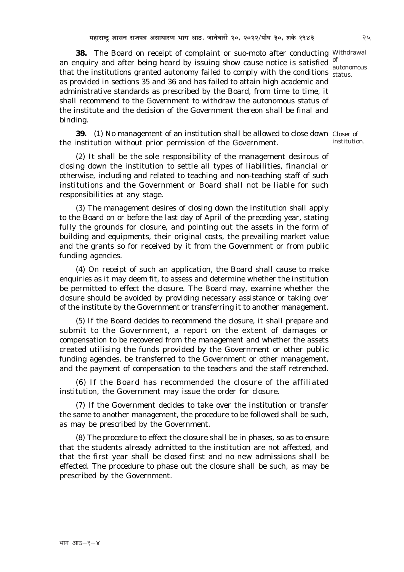**38.** The Board on receipt of complaint or *suo-moto* after conducting Withdrawal an enquiry and after being heard by issuing show cause notice is satisfied  $\frac{1}{2}$ that the institutions granted autonomy failed to comply with the conditions status. as provided in sections 35 and 36 and has failed to attain high academic and administrative standards as prescribed by the Board, from time to time, it shall recommend to the Government to withdraw the autonomous status of the institute and the decision of the Government thereon shall be final and binding.

**39.** (1) No management of an institution shall be allowed to close down Closer of the institution without prior permission of the Government.

*(2)* It shall be the sole responsibility of the management desirous of closing down the institution to settle all types of liabilities, financial or otherwise, including and related to teaching and non-teaching staff of such institutions and the Government or Board shall not be liable for such responsibilities at any stage.

*(3)* The management desires of closing down the institution shall apply to the Board on or before the last day of April of the preceding year, stating fully the grounds for closure, and pointing out the assets in the form of building and equipments, their original costs, the prevailing market value and the grants so for received by it from the Government or from public funding agencies.

*(4)* On receipt of such an application, the Board shall cause to make enquiries as it may deem fit, to assess and determine whether the institution be permitted to effect the closure. The Board may, examine whether the closure should be avoided by providing necessary assistance or taking over of the institute by the Government or transferring it to another management.

*(5)* If the Board decides to recommend the closure, it shall prepare and submit to the Government, a report on the extent of damages or compensation to be recovered from the management and whether the assets created utilising the funds provided by the Government or other public funding agencies, be transferred to the Government or other management, and the payment of compensation to the teachers and the staff retrenched.

*(6)* If the Board has recommended the closure of the affiliated institution, the Government may issue the order for closure.

*(7)* If the Government decides to take over the institution or transfer the same to another management, the procedure to be followed shall be such, as may be prescribed by the Government.

*(8)* The procedure to effect the closure shall be in phases, so as to ensure that the students already admitted to the institution are not affected, and that the first year shall be closed first and no new admissions shall be effected. The procedure to phase out the closure shall be such, as may be prescribed by the Government.

autonomous

institution.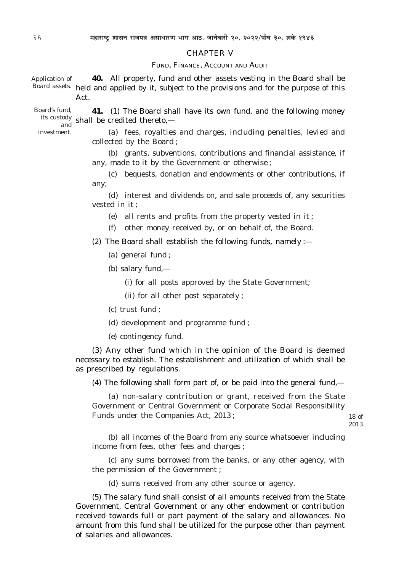#### CHAPTER V

#### FUND, FINANCE, ACCOUNT AND AUDIT

**40.** All property, fund and other assets vesting in the Board shall be Board assets. held and applied by it, subject to the provisions and for the purpose of this Act. Application of

**41.** *(1)* The Board shall have its own fund, and the following money its custody shall be credited thereto,— Board's fund, and

investment.

*(a)* fees, royalties and charges, including penalties, levied and collected by the Board ;

*(b)* grants, subventions, contributions and financial assistance, if any, made to it by the Government or otherwise ;

*(c)* bequests, donation and endowments or other contributions, if any;

*(d)* interest and dividends on, and sale proceeds of, any securities vested in it ;

*(e)* all rents and profits from the property vested in it ;

*(f)* other money received by, or on behalf of, the Board.

*(2)* The Board shall establish the following funds, namely :—

*(a)* general fund ;

*(b)* salary fund,—

*(i)* for all posts approved by the State Government;

*(ii)* for all other post separately ;

*(c)* trust fund ;

*(d)* development and programme fund ;

*(e)* contingency fund.

*(3)* Any other fund which in the opinion of the Board is deemed necessary to establish. The establishment and utilization of which shall be as prescribed by regulations.

*(4)* The following shall form part of, or be paid into the general fund,—

*(a)* non-salary contribution or grant, received from the State Government or Central Government or Corporate Social Responsibility Funds under the Companies Act, 2013 ;

18 of 2013.

*(b)* all incomes of the Board from any source whatsoever including income from fees, other fees and charges ;

*(c)* any sums borrowed from the banks, or any other agency, with the permission of the Government ;

*(d)* sums received from any other source or agency.

*(5)* The salary fund shall consist of all amounts received from the State Government, Central Government or any other endowment or contribution received towards full or part payment of the salary and allowances. No amount from this fund shall be utilized for the purpose other than payment of salaries and allowances.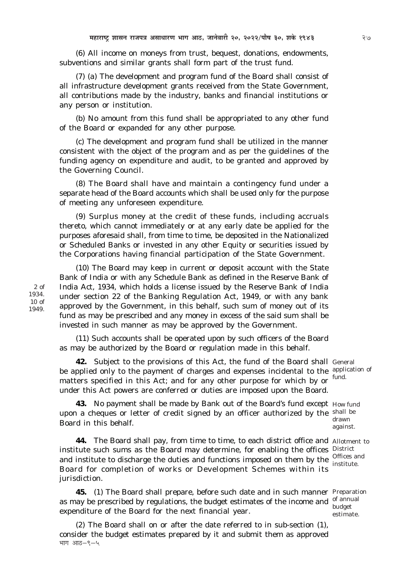*(6)* All income on moneys from trust, bequest, donations, endowments, subventions and similar grants shall form part of the trust fund.

*(7) (a)* The development and program fund of the Board shall consist of all infrastructure development grants received from the State Government, all contributions made by the industry, banks and financial institutions or any person or institution.

*(b)* No amount from this fund shall be appropriated to any other fund of the Board or expanded for any other purpose.

*(c)* The development and program fund shall be utilized in the manner consistent with the object of the program and as per the guidelines of the funding agency on expenditure and audit, to be granted and approved by the Governing Council.

*(8)* The Board shall have and maintain a contingency fund under a separate head of the Board accounts which shall be used only for the purpose of meeting any unforeseen expenditure.

*(9)* Surplus money at the credit of these funds, including accruals thereto, which cannot immediately or at any early date be applied for the purposes aforesaid shall, from time to time, be deposited in the Nationalized or Scheduled Banks or invested in any other Equity or securities issued by the Corporations having financial participation of the State Government.

*(10)* The Board may keep in current or deposit account with the State Bank of India or with any Schedule Bank as defined in the Reserve Bank of India Act, 1934, which holds a license issued by the Reserve Bank of India under section 22 of the Banking Regulation Act, 1949, or with any bank approved by the Government, in this behalf, such sum of money out of its fund as may be prescribed and any money in excess of the said sum shall be invested in such manner as may be approved by the Government.

*(11)* Such accounts shall be operated upon by such officers of the Board as may be authorized by the Board or regulation made in this behalf.

**42.** Subject to the provisions of this Act, the fund of the Board shall General be applied only to the payment of charges and expenses incidental to the application of matters specified in this Act; and for any other purpose for which by or fund. under this Act powers are conferred or duties are imposed upon the Board.

**43.** No payment shall be made by Bank out of the Board's fund except How fund upon a cheques or letter of credit signed by an officer authorized by the shall be Board in this behalf.

**44.** The Board shall pay, from time to time, to each district office and Allotment to institute such sums as the Board may determine, for enabling the offices District and institute to discharge the duties and functions imposed on them by the  $\frac{\text{Offices and}}{\text{Institute}}$ Board for completion of works or Development Schemes within its jurisdiction.

**45.** *(1)* The Board shall prepare, before such date and in such manner Preparation as may be prescribed by regulations, the budget estimates of the income and of annual expenditure of the Board for the next financial year.

*(2)* The Board shall on or after the date referred to in sub-section *(1)*, consider the budget estimates prepared by it and submit them as approved भाग आठ $-$ ९ $-$ ५

drawn against.

institute.

budget estimate.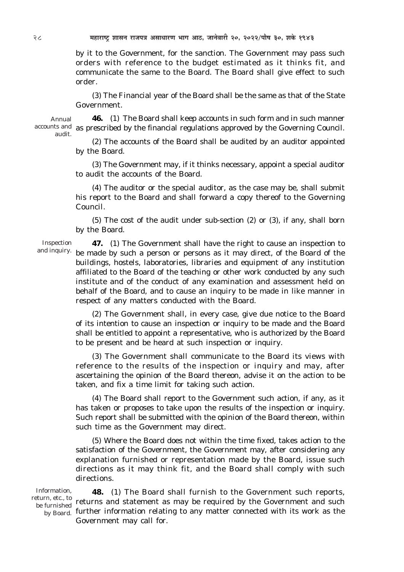by it to the Government, for the sanction. The Government may pass such orders with reference to the budget estimated as it thinks fit, and communicate the same to the Board. The Board shall give effect to such order.

*(3)* The Financial year of the Board shall be the same as that of the State Government.

Annual audit.

**46.** *(1)* The Board shall keep accounts in such form and in such manner accounts and as prescribed by the financial regulations approved by the Governing Council.

*(2)* The accounts of the Board shall be audited by an auditor appointed by the Board.

*(3)* The Government may, if it thinks necessary, appoint a special auditor to audit the accounts of the Board.

*(4)* The auditor or the special auditor, as the case may be, shall submit his report to the Board and shall forward a copy thereof to the Governing Council.

*(5)* The cost of the audit under sub-section *(2)* or *(3),* if any, shall born by the Board.

Inspection and inquiry.

**47.** *(1)* The Government shall have the right to cause an inspection to be made by such a person or persons as it may direct, of the Board of the buildings, hostels, laboratories, libraries and equipment of any institution affiliated to the Board of the teaching or other work conducted by any such institute and of the conduct of any examination and assessment held on behalf of the Board, and to cause an inquiry to be made in like manner in respect of any matters conducted with the Board.

*(2)* The Government shall, in every case, give due notice to the Board of its intention to cause an inspection or inquiry to be made and the Board shall be entitled to appoint a representative, who is authorized by the Board to be present and be heard at such inspection or inquiry.

*(3)* The Government shall communicate to the Board its views with reference to the results of the inspection or inquiry and may, after ascertaining the opinion of the Board thereon, advise it on the action to be taken, and fix a time limit for taking such action.

*(4)* The Board shall report to the Government such action, if any, as it has taken or proposes to take upon the results of the inspection or inquiry. Such report shall be submitted with the opinion of the Board thereon, within such time as the Government may direct.

*(5)* Where the Board does not within the time fixed, takes action to the satisfaction of the Government, the Government may, after considering any explanation furnished or representation made by the Board, issue such directions as it may think fit, and the Board shall comply with such directions.

Information, be furnished

**48.** *(1)* The Board shall furnish to the Government such reports, return, etc., to returns and statement as may be required by the Government and such  $_{\rm{by\;Board.}}$  further information relating to any matter connected with its work as the Government may call for.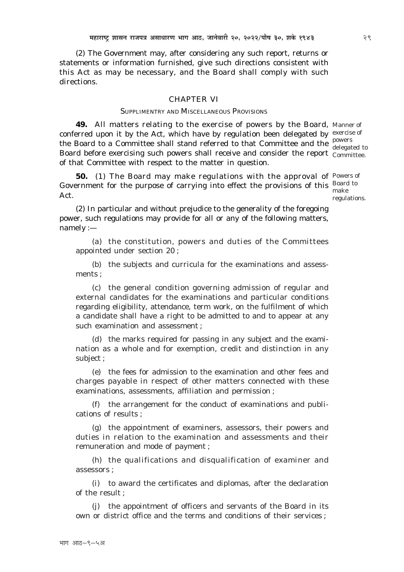*(2)* The Government may, after considering any such report, returns or statements or information furnished, give such directions consistent with this Act as may be necessary, and the Board shall comply with such directions.

#### CHAPTER VI

#### SUPPLIMENTRY AND MISCELLANEOUS PROVISIONS

**49.** All matters relating to the exercise of powers by the Board, Manner of conferred upon it by the Act, which have by regulation been delegated by exercise of the Board to a Committee shall stand referred to that Committee and the powers Board before exercising such powers shall receive and consider the report Committee. of that Committee with respect to the matter in question.

**50.** *(1)* The Board may make regulations with the approval of Powers of Government for the purpose of carrying into effect the provisions of this  $\frac{Board}{10}$ Act. make

delegated to

regulations.

*(2)* In particular and without prejudice to the generality of the foregoing power, such regulations may provide for all or any of the following matters, namely :—

*(a)* the constitution, powers and duties of the Committees appointed under section 20 ;

*(b)* the subjects and curricula for the examinations and assessments ;

*(c)* the general condition governing admission of regular and external candidates for the examinations and particular conditions regarding eligibility, attendance, term work, on the fulfilment of which a candidate shall have a right to be admitted to and to appear at any such examination and assessment ;

*(d)* the marks required for passing in any subject and the examination as a whole and for exemption, credit and distinction in any subject ;

*(e)* the fees for admission to the examination and other fees and charges payable in respect of other matters connected with these examinations, assessments, affiliation and permission ;

*(f)* the arrangement for the conduct of examinations and publications of results ;

*(g)* the appointment of examiners, assessors, their powers and duties in relation to the examination and assessments and their remuneration and mode of payment ;

*(h)* the qualifications and disqualification of examiner and assessors ;

*(i)* to award the certificates and diplomas, after the declaration of the result ;

*(j)* the appointment of officers and servants of the Board in its own or district office and the terms and conditions of their services ;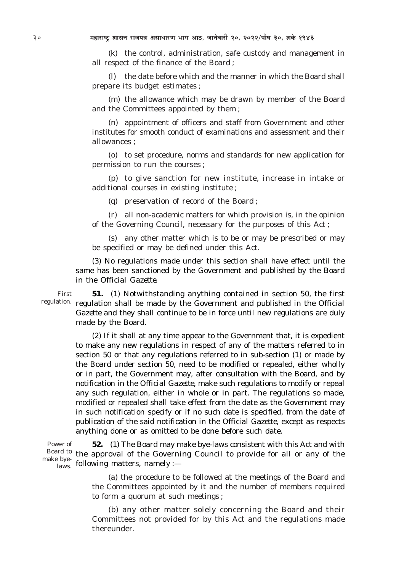*(k)* the control, administration, safe custody and management in all respect of the finance of the Board ;

*(l)* the date before which and the manner in which the Board shall prepare its budget estimates ;

*(m)* the allowance which may be drawn by member of the Board and the Committees appointed by them ;

*(n)* appointment of officers and staff from Government and other institutes for smooth conduct of examinations and assessment and their allowances ;

*(o)* to set procedure, norms and standards for new application for permission to run the courses ;

*(p)* to give sanction for new institute, increase in intake or additional courses in existing institute ;

*(q)* preservation of record of the Board ;

*(r)* all non-academic matters for which provision is, in the opinion of the Governing Council, necessary for the purposes of this Act ;

*(s)* any other matter which is to be or may be prescribed or may be specified or may be defined under this Act.

*(3)* No regulations made under this section shall have effect until the same has been sanctioned by the Government and published by the Board in the *Official Gazette*.

**51.** *(1)* Notwithstanding anything contained in section 50, the first regulation. regulation shall be made by the Government and published in the *Official Gazette* and they shall continue to be in force until new regulations are duly made by the Board. First

> *(2)* If it shall at any time appear to the Government that, it is expedient to make any new regulations in respect of any of the matters referred to in section 50 or that any regulations referred to in sub-section *(1)* or made by the Board under section 50, need to be modified or repealed, either wholly or in part, the Government may, after consultation with the Board, and by notification in the *Official Gazette*, make such regulations to modify or repeal any such regulation, either in whole or in part. The regulations so made, modified or repealed shall take effect from the date as the Government may in such notification specify or if no such date is specified, from the date of publication of the said notification in the *Official Gazette*, except as respects anything done or as omitted to be done before such date.

**52.** *(1)* The Board may make bye-laws consistent with this Act and with Board to the approval of the Governing Council to provide for all or any of the  $\frac{f_{\text{avg}}}{f_{\text{days}}}$  following matters, namely :— Power of make bye-

> *(a)* the procedure to be followed at the meetings of the Board and the Committees appointed by it and the number of members required to form a quorum at such meetings ;

> *(b)* any other matter solely concerning the Board and their Committees not provided for by this Act and the regulations made thereunder.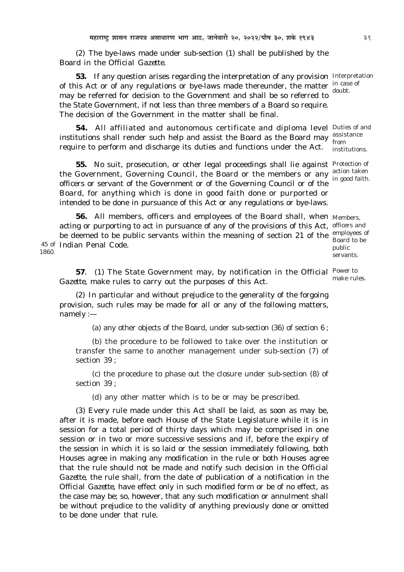*(2)* The bye-laws made under sub-section (*1*) shall be published by the Board in the *Official Gazette.*

**53.** If any question arises regarding the interpretation of any provision Interpretation of this Act or of any regulations or bye-laws made thereunder, the matter in case of may be referred for decision to the Government and shall be so referred to the State Government, if not less than three members of a Board so require. The decision of the Government in the matter shall be final.

**54.** All affiliated and autonomous certificate and diploma level Duties of and institutions shall render such help and assist the Board as the Board may  $\frac{\text{assistance}}{\text{from}}$ require to perform and discharge its duties and functions under the Act.

**55.** No suit, prosecution, or other legal proceedings shall lie against Protection of the Government, Governing Council, the Board or the members or any action taken officers or servant of the Government or of the Governing Council or of the Board, for anything which is done in good faith done or purported or intended to be done in pursuance of this Act or any regulations or bye-laws.

**56.** All members, officers and employees of the Board shall, when Members, acting or purporting to act in pursuance of any of the provisions of this Act, officers and be deemed to be public servants within the meaning of section 21 of the employees of 45 of Indian Penal Code. 1860.

Board to be public servants.

**57**. *(1)* The State Government may, by notification in the *Official* Power to *Gazette,* make rules to carry out the purposes of this Act. make rules.

*(2)* In particular and without prejudice to the generality of the forgoing provision, such rules may be made for all or any of the following matters, namely :—

*(a)* any other objects of the Board, under sub-section (*36*) of section 6 ;

*(b)* the procedure to be followed to take over the institution or transfer the same to another management under sub-section *(7)* of section 39 ;

*(c)* the procedure to phase out the closure under sub-section *(8)* of section 39 ;

(*d*) any other matter which is to be or may be prescribed.

(*3*) Every rule made under this Act shall be laid, as soon as may be, after it is made, before each House of the State Legislature while it is in session for a total period of thirty days which may be comprised in one session or in two or more successive sessions and if, before the expiry of the session in which it is so laid or the session immediately following, both Houses agree in making any modification in the rule or both Houses agree that the rule should not be made and notify such decision in the *Official Gazette*, the rule shall, from the date of publication of a notification in the *Official Gazette*, have effect only in such modified form or be of no effect, as the case may be; so, however, that any such modification or annulment shall be without prejudice to the validity of anything previously done or omitted to be done under that rule.

doubt.

from institutions.

in good faith.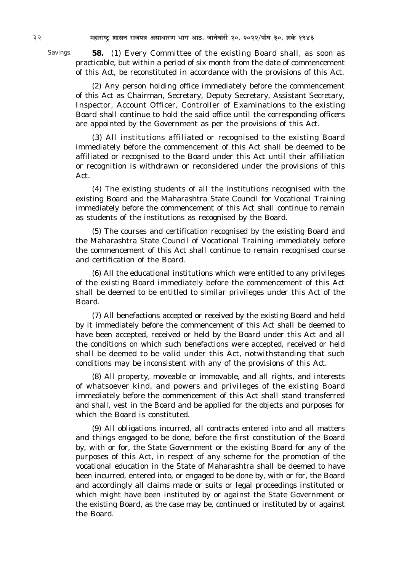Savings.

**58.** *(1)* Every Committee of the existing Board shall, as soon as practicable, but within a period of six month from the date of commencement of this Act, be reconstituted in accordance with the provisions of this Act.

*(2)* Any person holding office immediately before the commencement of this Act as Chairman, Secretary, Deputy Secretary, Assistant Secretary, Inspector, Account Officer, Controller of Examinations to the existing Board shall continue to hold the said office until the corresponding officers are appointed by the Government as per the provisions of this Act.

*(3)* All institutions affiliated or recognised to the existing Board immediately before the commencement of this Act shall be deemed to be affiliated or recognised to the Board under this Act until their affiliation or recognition is withdrawn or reconsidered under the provisions of this Act.

*(4)* The existing students of all the institutions recognised with the existing Board and the Maharashtra State Council for Vocational Training immediately before the commencement of this Act shall continue to remain as students of the institutions as recognised by the Board.

*(5)* The courses and certification recognised by the existing Board and the Maharashtra State Council of Vocational Training immediately before the commencement of this Act shall continue to remain recognised course and certification of the Board.

*(6)* All the educational institutions which were entitled to any privileges of the existing Board immediately before the commencement of this Act shall be deemed to be entitled to similar privileges under this Act of the Board.

*(7)* All benefactions accepted or received by the existing Board and held by it immediately before the commencement of this Act shall be deemed to have been accepted, received or held by the Board under this Act and all the conditions on which such benefactions were accepted, received or held shall be deemed to be valid under this Act, notwithstanding that such conditions may be inconsistent with any of the provisions of this Act.

*(8)* All property, moveable or immovable, and all rights, and interests of whatsoever kind, and powers and privileges of the existing Board immediately before the commencement of this Act shall stand transferred and shall, vest in the Board and be applied for the objects and purposes for which the Board is constituted.

*(9)* All obligations incurred, all contracts entered into and all matters and things engaged to be done, before the first constitution of the Board by, with or for, the State Government or the existing Board for any of the purposes of this Act, in respect of any scheme for the promotion of the vocational education in the State of Maharashtra shall be deemed to have been incurred, entered into, or engaged to be done by, with or for, the Board and accordingly all claims made or suits or legal proceedings instituted or which might have been instituted by or against the State Government or the existing Board, as the case may be, continued or instituted by or against the Board.